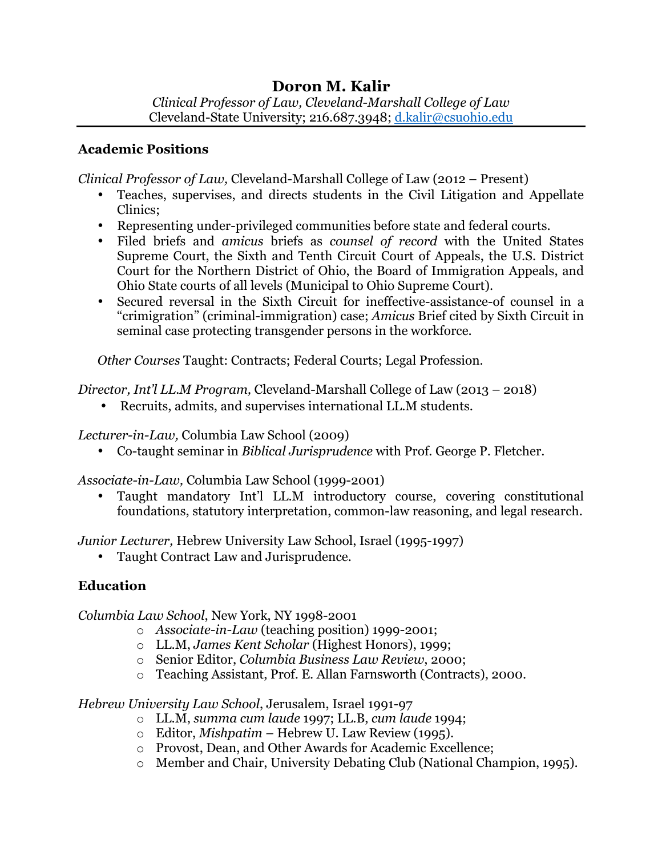# **Doron M. Kalir**

*Clinical Professor of Law, Cleveland-Marshall College of Law*  Cleveland-State University; 216.687.3948; d.kalir@csuohio.edu

#### **Academic Positions**

*Clinical Professor of Law,* Cleveland-Marshall College of Law (2012 – Present)

- Teaches, supervises, and directs students in the Civil Litigation and Appellate Clinics;
- Representing under-privileged communities before state and federal courts.
- Filed briefs and *amicus* briefs as *counsel of record* with the United States Supreme Court, the Sixth and Tenth Circuit Court of Appeals, the U.S. District Court for the Northern District of Ohio, the Board of Immigration Appeals, and Ohio State courts of all levels (Municipal to Ohio Supreme Court).
- Secured reversal in the Sixth Circuit for ineffective-assistance-of counsel in a "crimigration" (criminal-immigration) case; *Amicus* Brief cited by Sixth Circuit in seminal case protecting transgender persons in the workforce.

*Other Courses* Taught: Contracts; Federal Courts; Legal Profession.

*Director, Int'l LL.M Program,* Cleveland-Marshall College of Law (2013 – 2018)

• Recruits, admits, and supervises international LL.M students.

*Lecturer-in-Law,* Columbia Law School (2009)

• Co-taught seminar in *Biblical Jurisprudence* with Prof. George P. Fletcher.

*Associate-in-Law,* Columbia Law School (1999-2001)

• Taught mandatory Int'l LL.M introductory course, covering constitutional foundations, statutory interpretation, common-law reasoning, and legal research.

*Junior Lecturer,* Hebrew University Law School, Israel (1995-1997)

• Taught Contract Law and Jurisprudence.

# **Education**

*Columbia Law School*, New York, NY 1998-2001

- o *Associate-in-Law* (teaching position) 1999-2001;
- o LL.M, *James Kent Scholar* (Highest Honors), 1999;
- o Senior Editor, *Columbia Business Law Review*, 2000;
- o Teaching Assistant, Prof. E. Allan Farnsworth (Contracts), 2000.

*Hebrew University Law School*, Jerusalem, Israel 1991-97

- o LL.M, *summa cum laude* 1997; LL.B, *cum laude* 1994;
- o Editor, *Mishpatim –* Hebrew U. Law Review (1995).
- o Provost, Dean, and Other Awards for Academic Excellence;
- o Member and Chair, University Debating Club (National Champion, 1995).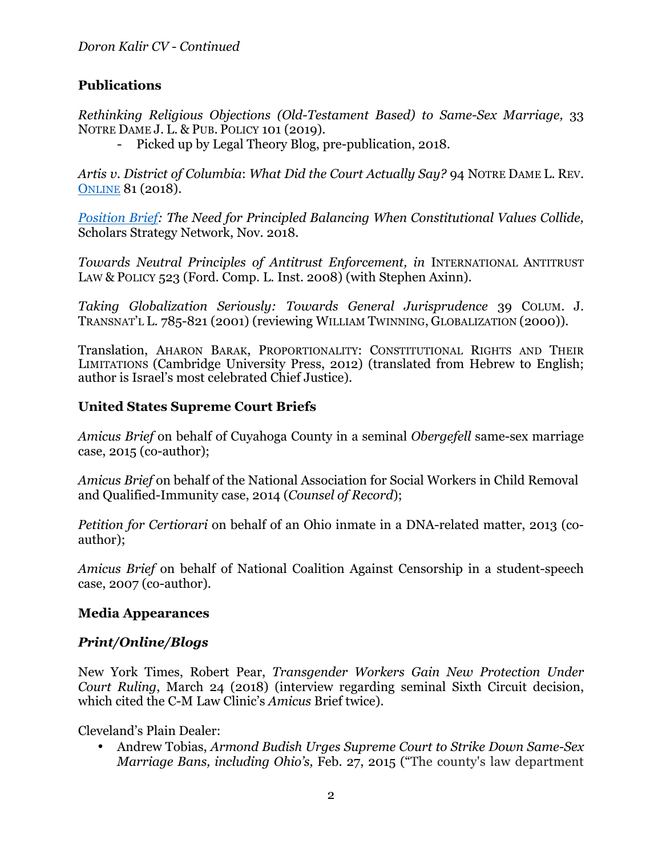## **Publications**

*Rethinking Religious Objections (Old-Testament Based) to Same-Sex Marriage,* 33 NOTRE DAME J. L. & PUB. POLICY 101 (2019).

- Picked up by Legal Theory Blog, pre-publication, 2018.

*Artis v. District of Columbia*: *What Did the Court Actually Say?* 94 NOTRE DAME L. REV. ONLINE 81 (2018).

*Position Brief: The Need for Principled Balancing When Constitutional Values Collide,*  Scholars Strategy Network, Nov. 2018.

*Towards Neutral Principles of Antitrust Enforcement, in* INTERNATIONAL ANTITRUST LAW & POLICY 523 (Ford. Comp. L. Inst. 2008) (with Stephen Axinn).

*Taking Globalization Seriously: Towards General Jurisprudence* 39 COLUM. J. TRANSNAT'L L. 785-821 (2001) (reviewing WILLIAM TWINNING, GLOBALIZATION (2000)).

Translation, AHARON BARAK, PROPORTIONALITY: CONSTITUTIONAL RIGHTS AND THEIR LIMITATIONS (Cambridge University Press, 2012) (translated from Hebrew to English; author is Israel's most celebrated Chief Justice).

#### **United States Supreme Court Briefs**

*Amicus Brief* on behalf of Cuyahoga County in a seminal *Obergefell* same-sex marriage case, 2015 (co-author);

*Amicus Brief* on behalf of the National Association for Social Workers in Child Removal and Qualified-Immunity case, 2014 (*Counsel of Record*);

*Petition for Certiorari* on behalf of an Ohio inmate in a DNA-related matter, 2013 (coauthor);

*Amicus Brief* on behalf of National Coalition Against Censorship in a student-speech case, 2007 (co-author).

#### **Media Appearances**

### *Print/Online/Blogs*

New York Times, Robert Pear, *Transgender Workers Gain New Protection Under Court Ruling*, March 24 (2018) (interview regarding seminal Sixth Circuit decision, which cited the C-M Law Clinic's *Amicus* Brief twice).

Cleveland's Plain Dealer:

• Andrew Tobias, *Armond Budish Urges Supreme Court to Strike Down Same-Sex Marriage Bans, including Ohio's,* Feb. 27, 2015 ("The county's law department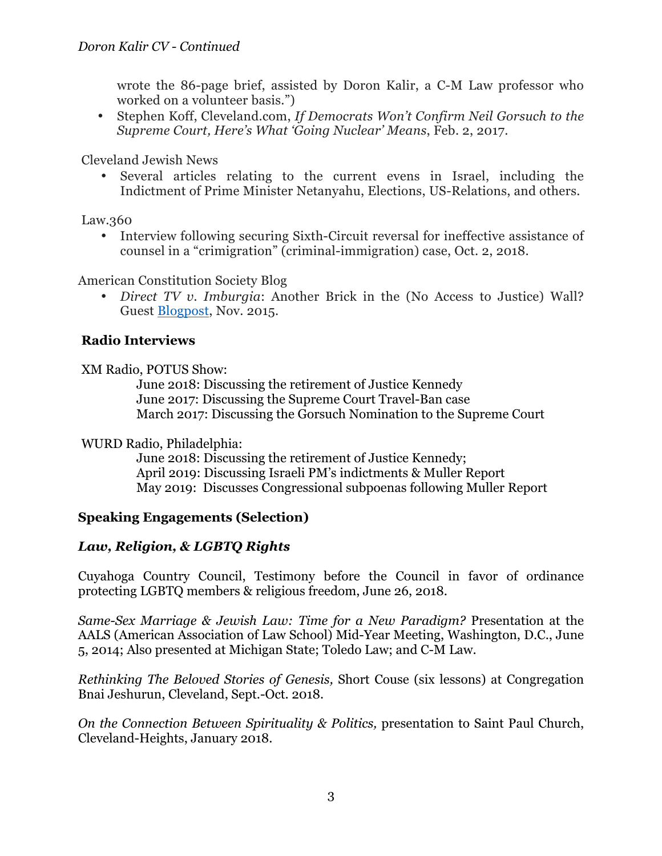wrote the 86-page brief, assisted by Doron Kalir, a C-M Law professor who worked on a volunteer basis.")

• Stephen Koff, Cleveland.com, *If Democrats Won't Confirm Neil Gorsuch to the Supreme Court, Here's What 'Going Nuclear' Means*, Feb. 2, 2017.

Cleveland Jewish News

• Several articles relating to the current evens in Israel, including the Indictment of Prime Minister Netanyahu, Elections, US-Relations, and others.

Law.360

• Interview following securing Sixth-Circuit reversal for ineffective assistance of counsel in a "crimigration" (criminal-immigration) case, Oct. 2, 2018.

American Constitution Society Blog

• *Direct TV v. Imburgia*: Another Brick in the (No Access to Justice) Wall? Guest Blogpost, Nov. 2015.

### **Radio Interviews**

XM Radio, POTUS Show:

June 2018: Discussing the retirement of Justice Kennedy June 2017: Discussing the Supreme Court Travel-Ban case March 2017: Discussing the Gorsuch Nomination to the Supreme Court

#### WURD Radio, Philadelphia:

June 2018: Discussing the retirement of Justice Kennedy; April 2019: Discussing Israeli PM's indictments & Muller Report May 2019: Discusses Congressional subpoenas following Muller Report

### **Speaking Engagements (Selection)**

## *Law, Religion, & LGBTQ Rights*

Cuyahoga Country Council, Testimony before the Council in favor of ordinance protecting LGBTQ members & religious freedom, June 26, 2018.

*Same-Sex Marriage & Jewish Law: Time for a New Paradigm?* Presentation at the AALS (American Association of Law School) Mid-Year Meeting, Washington, D.C., June 5, 2014; Also presented at Michigan State; Toledo Law; and C-M Law.

*Rethinking The Beloved Stories of Genesis,* Short Couse (six lessons) at Congregation Bnai Jeshurun, Cleveland, Sept.-Oct. 2018.

*On the Connection Between Spirituality & Politics,* presentation to Saint Paul Church, Cleveland-Heights, January 2018.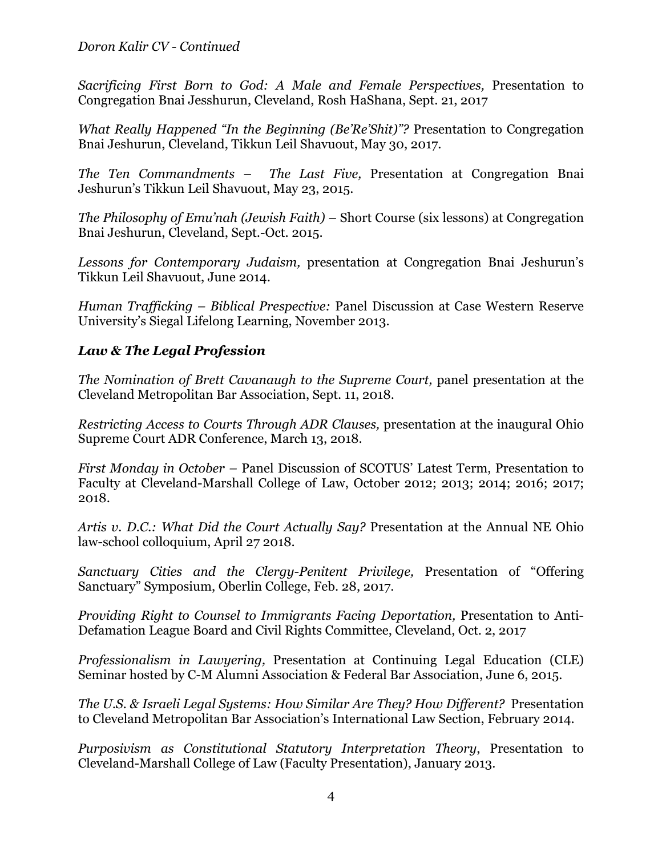*Doron Kalir CV - Continued*

*Sacrificing First Born to God: A Male and Female Perspectives,* Presentation to Congregation Bnai Jesshurun, Cleveland, Rosh HaShana, Sept. 21, 2017

*What Really Happened "In the Beginning (Be'Re'Shit)"?* Presentation to Congregation Bnai Jeshurun, Cleveland, Tikkun Leil Shavuout, May 30, 2017.

*The Ten Commandments – The Last Five,* Presentation at Congregation Bnai Jeshurun's Tikkun Leil Shavuout, May 23, 2015.

*The Philosophy of Emu'nah (Jewish Faith) –* Short Course (six lessons) at Congregation Bnai Jeshurun, Cleveland, Sept.-Oct. 2015.

*Lessons for Contemporary Judaism,* presentation at Congregation Bnai Jeshurun's Tikkun Leil Shavuout, June 2014.

*Human Trafficking – Biblical Prespective:* Panel Discussion at Case Western Reserve University's Siegal Lifelong Learning, November 2013.

## *Law & The Legal Profession*

*The Nomination of Brett Cavanaugh to the Supreme Court, panel presentation at the* Cleveland Metropolitan Bar Association, Sept. 11, 2018.

*Restricting Access to Courts Through ADR Clauses,* presentation at the inaugural Ohio Supreme Court ADR Conference, March 13, 2018.

*First Monday in October –* Panel Discussion of SCOTUS' Latest Term, Presentation to Faculty at Cleveland-Marshall College of Law, October 2012; 2013; 2014; 2016; 2017; 2018.

*Artis v. D.C.: What Did the Court Actually Say?* Presentation at the Annual NE Ohio law-school colloquium, April 27 2018.

*Sanctuary Cities and the Clergy-Penitent Privilege,* Presentation of "Offering Sanctuary" Symposium, Oberlin College, Feb. 28, 2017.

*Providing Right to Counsel to Immigrants Facing Deportation,* Presentation to Anti-Defamation League Board and Civil Rights Committee, Cleveland, Oct. 2, 2017

*Professionalism in Lawyering,* Presentation at Continuing Legal Education (CLE) Seminar hosted by C-M Alumni Association & Federal Bar Association, June 6, 2015.

*The U.S. & Israeli Legal Systems: How Similar Are They? How Different?* Presentation to Cleveland Metropolitan Bar Association's International Law Section, February 2014.

*Purposivism as Constitutional Statutory Interpretation Theory*, Presentation to Cleveland-Marshall College of Law (Faculty Presentation), January 2013.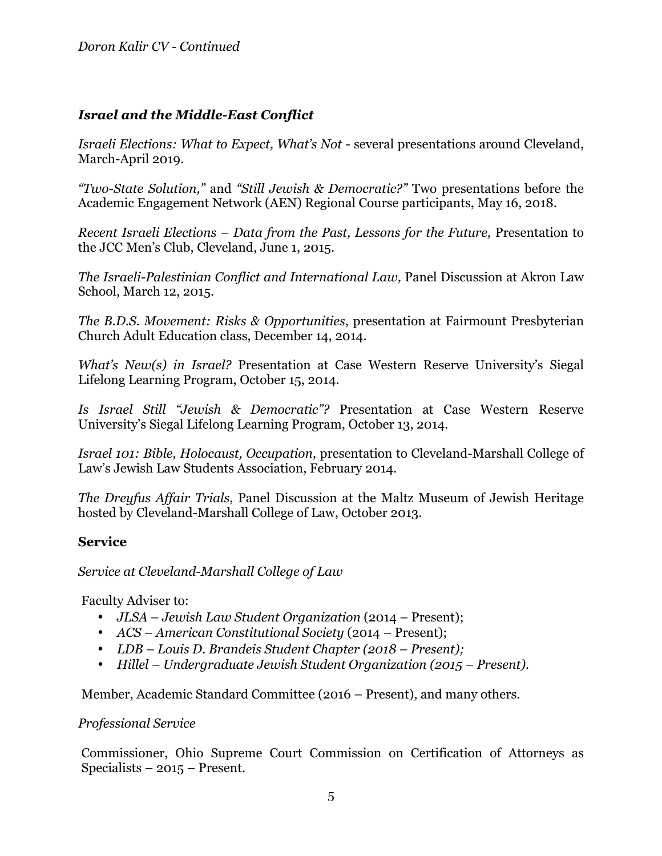### *Israel and the Middle-East Conflict*

*Israeli Elections: What to Expect, What's Not -* several presentations around Cleveland, March-April 2019.

*"Two-State Solution,"* and *"Still Jewish & Democratic?"* Two presentations before the Academic Engagement Network (AEN) Regional Course participants, May 16, 2018.

*Recent Israeli Elections – Data from the Past, Lessons for the Future,* Presentation to the JCC Men's Club, Cleveland, June 1, 2015.

*The Israeli-Palestinian Conflict and International Law,* Panel Discussion at Akron Law School, March 12, 2015.

*The B.D.S. Movement: Risks & Opportunities*, presentation at Fairmount Presbyterian Church Adult Education class, December 14, 2014.

*What's New(s) in Israel?* Presentation at Case Western Reserve University's Siegal Lifelong Learning Program, October 15, 2014.

*Is Israel Still "Jewish & Democratic"?* Presentation at Case Western Reserve University's Siegal Lifelong Learning Program, October 13, 2014.

*Israel 101: Bible, Holocaust, Occupation,* presentation to Cleveland-Marshall College of Law's Jewish Law Students Association, February 2014.

*The Dreyfus Affair Trials*, Panel Discussion at the Maltz Museum of Jewish Heritage hosted by Cleveland-Marshall College of Law, October 2013.

#### **Service**

#### *Service at Cleveland-Marshall College of Law*

Faculty Adviser to:

- *JLSA Jewish Law Student Organization* (2014 Present);
- *ACS – American Constitutional Society* (2014 Present);
- *LDB – Louis D. Brandeis Student Chapter (2018 – Present);*
- *Hillel – Undergraduate Jewish Student Organization (2015 – Present).*

Member, Academic Standard Committee (2016 – Present), and many others.

#### *Professional Service*

Commissioner, Ohio Supreme Court Commission on Certification of Attorneys as Specialists – 2015 – Present.